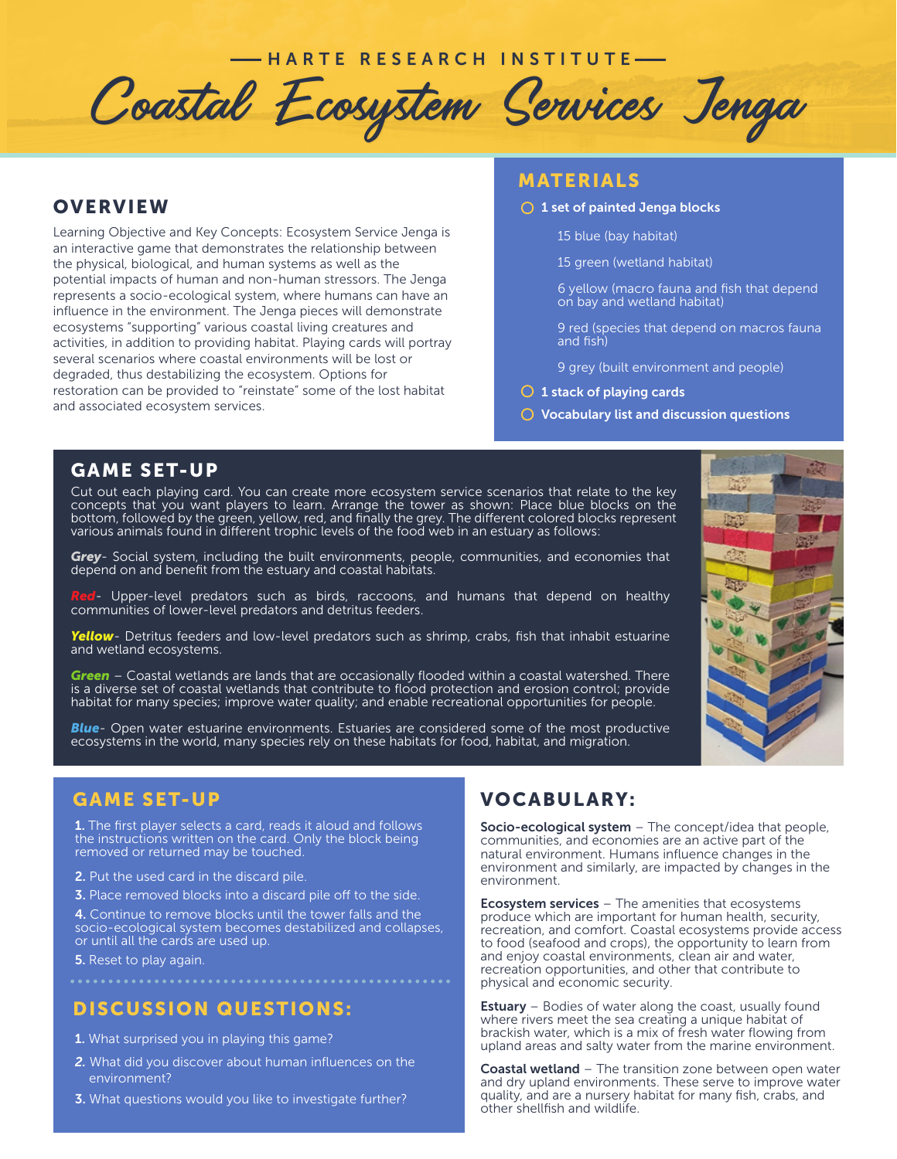# - HARTE RESEARCH INSTITUTE

Coastal Ecosystem Services Jenga

# **OVERVIEW**

Learning Objective and Key Concepts: Ecosystem Service Jenga is an interactive game that demonstrates the relationship between the physical, biological, and human systems as well as the potential impacts of human and non-human stressors. The Jenga represents a socio-ecological system, where humans can have an influence in the environment. The Jenga pieces will demonstrate ecosystems "supporting" various coastal living creatures and activities, in addition to providing habitat. Playing cards will portray several scenarios where coastal environments will be lost or degraded, thus destabilizing the ecosystem. Options for restoration can be provided to "reinstate" some of the lost habitat and associated ecosystem services.

# MATERIALS

- $\bigcirc$  1 set of painted Jenga blocks
	- 15 blue (bay habitat)
	- 15 green (wetland habitat)
	- 6 yellow (macro fauna and fish that depend on bay and wetland habitat)
	- 9 red (species that depend on macros fauna and fish)
	- 9 grey (built environment and people)
- $\bigcirc$  1 stack of playing cards
- $\bigcirc$  Vocabulary list and discussion questions

### GAME SET-UP

Cut out each playing card. You can create more ecosystem service scenarios that relate to the key concepts that you want players to learn. Arrange the tower as shown: Place blue blocks on the bottom, followed by the green, yellow, red, and finally the grey. The different colored blocks represent various animals found in different trophic levels of the food web in an estuary as follows:

*Grey*- Social system, including the built environments, people, communities, and economies that depend on and benefit from the estuary and coastal habitats.

*Red*- Upper-level predators such as birds, raccoons, and humans that depend on healthy communities of lower-level predators and detritus feeders.

*Yellow*- Detritus feeders and low-level predators such as shrimp, crabs, fish that inhabit estuarine and wetland ecosystems.

*Green* – Coastal wetlands are lands that are occasionally flooded within a coastal watershed. There is a diverse set of coastal wetlands that contribute to flood protection and erosion control; provide habitat for many species; improve water quality; and enable recreational opportunities for people.

*Blue*- Open water estuarine environments. Estuaries are considered some of the most productive ecosystems in the world, many species rely on these habitats for food, habitat, and migration.

1. The first player selects a card, reads it aloud and follows the instructions written on the card. Only the block being removed or returned may be touched.

- 2. Put the used card in the discard pile.
- **3.** Place removed blocks into a discard pile off to the side.

4. Continue to remove blocks until the tower falls and the socio-ecological system becomes destabilized and collapses, or until all the cards are used up.

5. Reset to play again.

# DISCUSSION QUESTIONS:

- 1. What surprised you in playing this game?
- *2.* What did you discover about human influences on the environment?
- **3.** What questions would you like to investigate further?

# GAME SET-UP VOCABULARY:

Socio-ecological system - The concept/idea that people, communities, and economies are an active part of the natural environment. Humans influence changes in the environment and similarly, are impacted by changes in the environment.

**Ecosystem services** – The amenities that ecosystems produce which are important for human health, security, recreation, and comfort. Coastal ecosystems provide access to food (seafood and crops), the opportunity to learn from and enjoy coastal environments, clean air and water, recreation opportunities, and other that contribute to physical and economic security.

**Estuary** – Bodies of water along the coast, usually found where rivers meet the sea creating a unique habitat of brackish water, which is a mix of fresh water flowing from upland areas and salty water from the marine environment.

Coastal wetland - The transition zone between open water and dry upland environments. These serve to improve water quality, and are a nursery habitat for many fish, crabs, and other shellfish and wildlife.

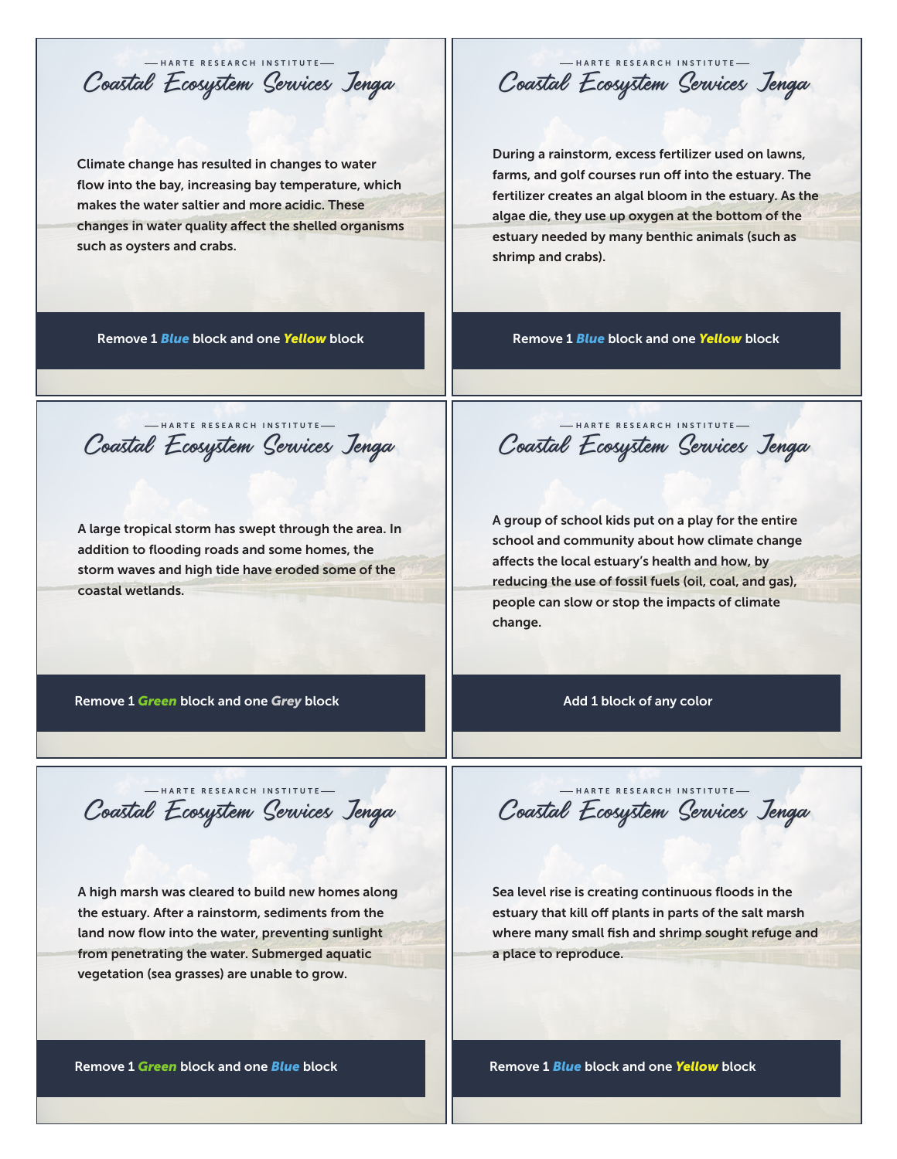Coastal Ecosystem Services Jenga HARTE RESEARCH INSTITUTE

Climate change has resulted in changes to water flow into the bay, increasing bay temperature, which makes the water saltier and more acidic. These changes in water quality affect the shelled organisms such as oysters and crabs.

Coastal Ecosystem Services Jenga HARTE RESEARCH INSTITUTE

During a rainstorm, excess fertilizer used on lawns, farms, and golf courses run off into the estuary. The fertilizer creates an algal bloom in the estuary. As the algae die, they use up oxygen at the bottom of the estuary needed by many benthic animals (such as shrimp and crabs).

Remove 1 *Blue* block and one *Yellow* block

Remove 1 *Blue* block and one *Yellow* block

Coastal Ecosystem Services Jenga HARTE RESEARCH INSTITUTE

A large tropical storm has swept through the area. In addition to flooding roads and some homes, the storm waves and high tide have eroded some of the coastal wetlands.

Coastal Ecosystem Services Jenga HARTE RESEARCH INSTITUTE

A group of school kids put on a play for the entire school and community about how climate change affects the local estuary's health and how, by reducing the use of fossil fuels (oil, coal, and gas), people can slow or stop the impacts of climate change.

Remove 1 *Green* block and one *Grey* block

Add 1 block of any color

Coastal Ecosystem Services Jenga HARTE RESEARCH INSTITUTE

A high marsh was cleared to build new homes along the estuary. After a rainstorm, sediments from the land now flow into the water, preventing sunlight from penetrating the water. Submerged aquatic vegetation (sea grasses) are unable to grow.

Coastal Ecosystem Services Jenga HARTE RESEARCH INSTITUTE

Sea level rise is creating continuous floods in the estuary that kill off plants in parts of the salt marsh where many small fish and shrimp sought refuge and a place to reproduce.

Remove 1 *Green* block and one *Blue* block

Remove 1 *Blue* block and one *Yellow* block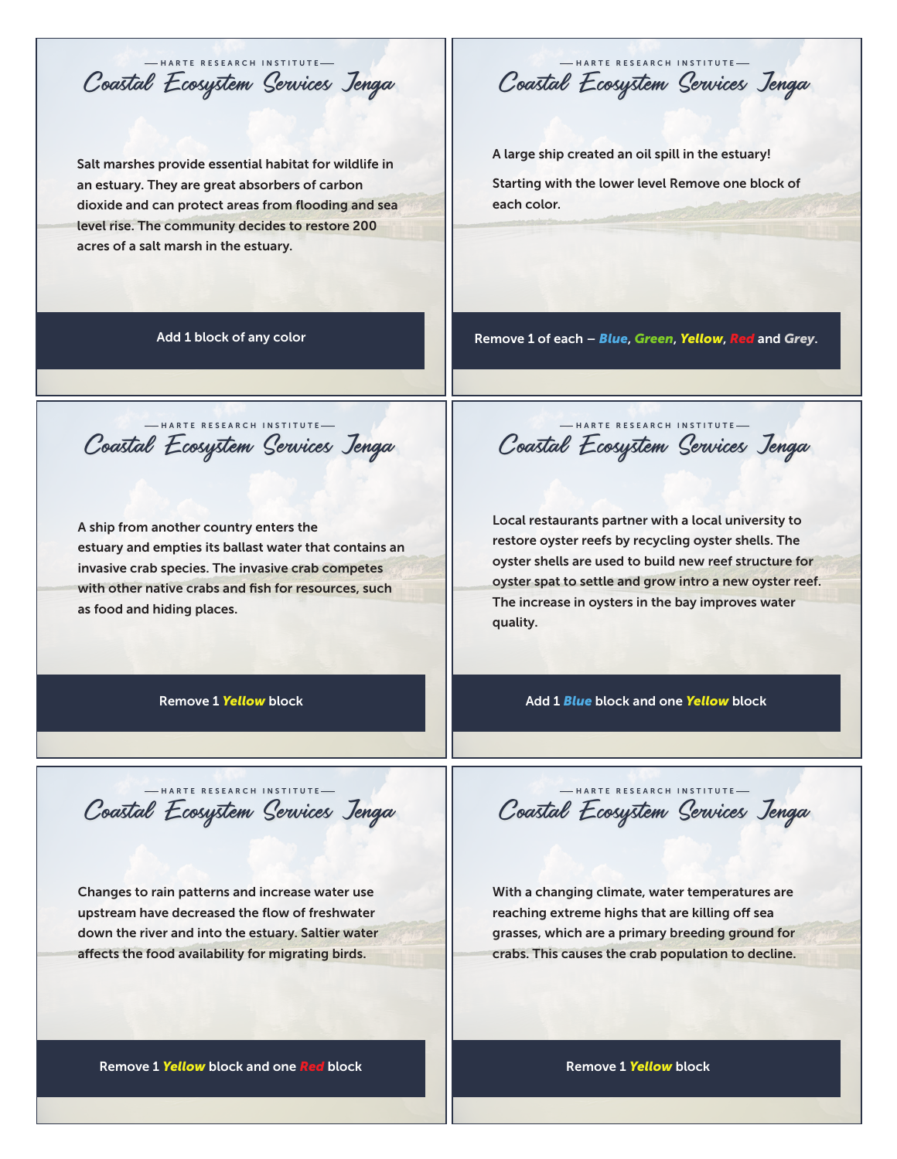Coastal Ecosystem Services Jenga HARTE RESEARCH INSTITUTE

Salt marshes provide essential habitat for wildlife in an estuary. They are great absorbers of carbon dioxide and can protect areas from flooding and sea level rise. The community decides to restore 200 acres of a salt marsh in the estuary.

Add 1 block of any color

Remove 1 of each – *Blue*, *Green*, *Yellow*, *Red* and *Grey*.

A large ship created an oil spill in the estuary!

each color.

Starting with the lower level Remove one block of

Coastal Ecosystem Services Jenga HARTE RESEARCH INSTITUTE

Coastal Ecosystem Services Jenga HARTE RESEARCH INSTITUTE

A ship from another country enters the estuary and empties its ballast water that contains an invasive crab species. The invasive crab competes with other native crabs and fish for resources, such as food and hiding places.

Coastal Ecosystem Services Jenga HARTE RESEARCH INSTITUTE

Local restaurants partner with a local university to restore oyster reefs by recycling oyster shells. The oyster shells are used to build new reef structure for oyster spat to settle and grow intro a new oyster reef. The increase in oysters in the bay improves water quality.

Remove 1 *Yellow* block

Add 1 *Blue* block and one *Yellow* block

Coastal Ecosystem Services Jenga HARTE RESEARCH INSTITUTE

Changes to rain patterns and increase water use upstream have decreased the flow of freshwater down the river and into the estuary. Saltier water affects the food availability for migrating birds.

Coastal Ecosystem Services Jenga HARTE RESEARCH INSTITUTE

With a changing climate, water temperatures are reaching extreme highs that are killing off sea grasses, which are a primary breeding ground for crabs. This causes the crab population to decline.

Remove 1 *Yellow* block and one *Red* block

Remove 1 *Yellow* block